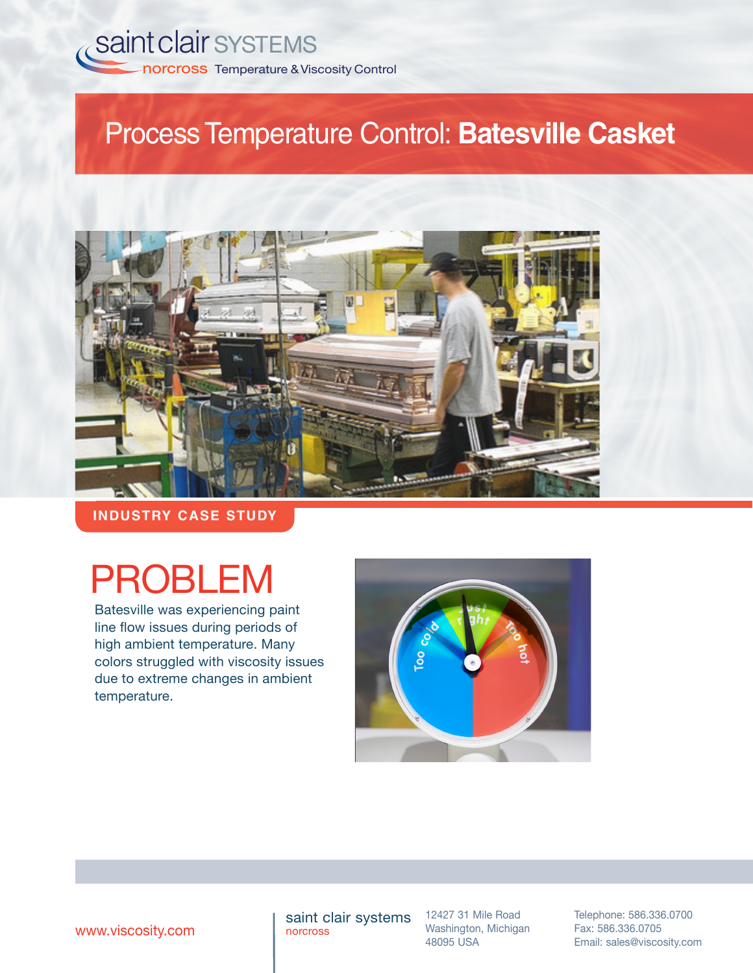

## ProcessTemperature Control: **Batesville Casket**



**INDUSTRY CASE STUDY**

# PROBLEM

Batesville was experiencing paint line flow issues during periods of high ambient temperature. Many colors struggled with viscosity issues due to extreme changes in ambient temperature.



saint clair systems norcross

12427 31 Mile Road Washington, Michigan 48095 USA

Telephone: 586.336.0700 Fax: 586.336.0705 **WWW.viscosity.com 1980** norcross Mashington, Michigan Fax: 586.336.0705<br>48095 USA Email: sales@viscosity.com